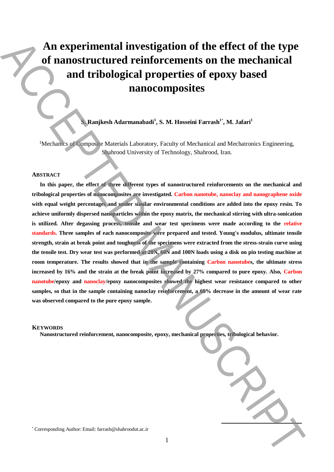# **An experimental investigation of the effect of the type of nanostructured reinforcements on the mechanical and tribological properties of epoxy based nanocomposites**

## **S. Ranjkesh Adarmanabadi<sup>1</sup> , S. M. Hosseini Farrash<sup>1</sup>**\* **, M. Jafari<sup>1</sup>**

<sup>1</sup>Mechanics of Composite Materials Laboratory, Faculty of Mechanical and Mechatronics Engineering, Shahrood University of Technology, Shahrood, Iran.

#### **ABSTRACT**

**In this paper, the effect of three different types of nanostructured reinforcements on the mechanical and tribological properties of nanocomposites are investigated. Carbon nanotube, nanoclay and nanographene oxide with equal weight percentages and under similar environmental conditions are added into the epoxy resin. To achieve uniformly dispersed nanoparticles within the epoxy matrix, the mechanical stirring with ultra-sonication is utilized. After degassing process, tensile and wear test specimens were made according to the relative standards. Three samples of each nanocomposite were prepared and tested. Young's modulus, ultimate tensile strength, strain at break point and toughness of the specimens were extracted from the stress-strain curve using the tensile test. Dry wear test was performed at 20N, 60N and 100N loads using a disk on pin testing machine at room temperature. The results showed that in the sample containing Carbon nanotubes, the ultimate stress increased by 16% and the strain at the break point increased by 27% compared to pure epoxy. Also, Carbon nanotube/epoxy and nanoclay/epoxy nanocomposites showed the highest wear resistance compared to other samples, so that in the sample containing nanoclay reinforcement, a 60% decrease in the amount of wear rate was observed compared to the pure epoxy sample.** An experimental investigation of the effect of the type<br>of nanostructured reinforcements on the mechanical<br>and tribological properties of epoxy based<br>manocomposites<br>manocomposites<br>subsection  $\alpha$  and  $\alpha$  and  $\alpha$  and  $\alpha$ 

#### **KEYWORDS**

**Nanostructured reinforcement, nanocomposite, epoxy, mechanical properties, tribological behavior.** 

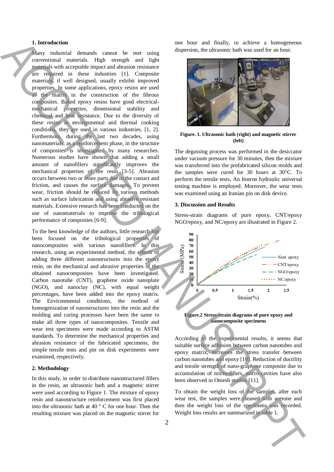### **1. Introduction**

Many industrial demands cannot be met using conventional materials. High strength and light materials with acceptable impact and abrasion resistance are required in these industries [1]. Composite materials, if well designed, usually exhibit improved properties. In some applications, epoxy resins are used as the matrix in the construction of the fibrous composites. Baked epoxy resins have good electricalmechanical properties, dimensional stability and chemical and heat resistance. Due to the diversity of these resins in environmental and thermal cooking conditions, they are used in various industries. [1, 2]. Furthermore, during the last two decades, using nanomaterials, as a reinforcement phase, in the structure of composites is investigated by many researches. Numerous studies have shown that adding a small amount of nanofillers significantly improves the mechanical properties of the resin [3-5]. Abrasion occurs between two or more parts due to the contact and friction, and causes the surface damages. To prevent wear, friction should be reduced by various methods such as surface lubrication and using abrasive resistant materials. Extensive research has been conducted on the use of nanomaterials to improve the tribological performance of composites [6-9]. International demand of the main of the set of the main deal into the main demand into the main of the main of the main of the main of the main of the main of the main of the main of the main of the main of the main of th

To the best knowledge of the authors, little research has been focused on the tribological properties of nanocomposites with various nanofillers. In this research, using an experimental method, the effects of adding three different nanostructures into the epoxy resin, on the mechanical and abrasive properties of the obtained nanocomposites have been investigated. Carbon nanotube (CNT), graphene oxide nanoplate (NGO), and nanoclay (NC), with equal weight percentages, have been added into the epoxy matrix. The Environmental conditions, the method of homogenization of nanostructures into the resin and the molding and curing processes have been the same to make all three types of nanocomposites. Tensile and wear test specimens were made according to ASTM standards. To determine the mechanical properties and abrasion resistance of the fabricated specimens, the simple tensile tests and pin on disk experiments were examined, respectively.

## **2. Methodology**

In this study, in order to distribute nanostructured fillers in the resin, an ultrasonic bath and a magnetic stirrer were used according to Figure 1. The mixture of epoxy resin and nanostructure reinforcement was first placed into the ultrasonic bath at 40 ° C for one hour. Then the resulting mixture was placed on the magnetic stirrer for one hour and finally, to achieve a homogeneous dispersion, the ultrasonic bath was used for an hour.



**Figure. 1. Ultrasonic bath (right) and magnetic stirrer (left)**

The degassing process was performed in the desiccator under vacuum pressure for 30 minutes, then the mixture was transferred into the prefabricated silicon molds and the samples were cured for 30 hours at 30°C. To perform the tensile tests, An Instron hydraulic universal testing machine is employed. Moreover, the wear tests was examined using an Iranian pin on disk device.

### **3. Discussion and Results**

Stress-strain diagrams of pure epoxy, CNT/epoxy NGO/epoxy, and NC/epoxy are illustrated in Figure 2.



**Figure.2 Stress-strain diagrams of pure epoxy and nanocomposite specimens**

According to the experimental results, it seems that suitable surface adhesion between carbon nanotubes and epoxy matrix, increases the stress transfer between carbon nanotubes and epoxy [10]. Reduction of ductility and tensile strength of nano-graphene composite due to accumulation of micro-fillers, micro-cavities have also been observed in Omesh studies [11].

To obtain the weight loss of the samples, after each wear test, the samples were cleaned with acetone and then the weight loss of the specimens was recorded. Weight loss results are summarized in table 1.